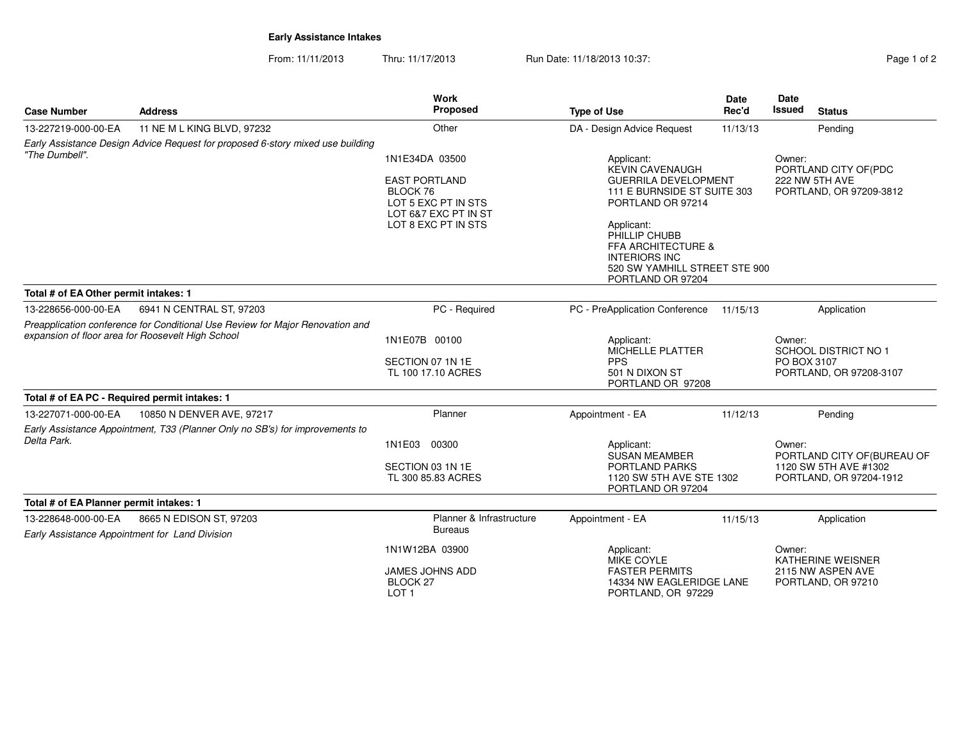## **Early Assistance Intakes**

From: 11/11/2013Thru: 11/17/2013 **Run Date: 11/18/2013 10:37:** And Contact the Capacity of 2

| <b>Case Number</b>                                                                                                                 | <b>Address</b>                                                               | <b>Work</b><br>Proposed                                                         | <b>Type of Use</b>                                                                                                                         | <b>Date</b><br>Rec'd                                                                                    | <b>Date</b><br>Issued<br><b>Status</b>                                          |  |
|------------------------------------------------------------------------------------------------------------------------------------|------------------------------------------------------------------------------|---------------------------------------------------------------------------------|--------------------------------------------------------------------------------------------------------------------------------------------|---------------------------------------------------------------------------------------------------------|---------------------------------------------------------------------------------|--|
| 13-227219-000-00-EA                                                                                                                | 11 NE M L KING BLVD, 97232                                                   | Other                                                                           | DA - Design Advice Request                                                                                                                 | 11/13/13                                                                                                | Pending                                                                         |  |
| Early Assistance Design Advice Request for proposed 6-story mixed use building<br>"The Dumbell".                                   |                                                                              | 1N1E34DA 03500                                                                  | Applicant:                                                                                                                                 |                                                                                                         | Owner:<br>PORTLAND CITY OF(PDC                                                  |  |
|                                                                                                                                    |                                                                              | <b>EAST PORTLAND</b><br>BLOCK 76<br>LOT 5 EXC PT IN STS<br>LOT 6&7 EXC PT IN ST | <b>KEVIN CAVENAUGH</b><br>PORTLAND OR 97214                                                                                                | <b>GUERRILA DEVELOPMENT</b><br>222 NW 5TH AVE<br>111 E BURNSIDE ST SUITE 303<br>PORTLAND, OR 97209-3812 |                                                                                 |  |
|                                                                                                                                    |                                                                              | LOT 8 EXC PT IN STS                                                             | Applicant:<br>PHILLIP CHUBB<br><b>FFA ARCHITECTURE &amp;</b><br><b>INTERIORS INC</b><br>520 SW YAMHILL STREET STE 900<br>PORTLAND OR 97204 |                                                                                                         |                                                                                 |  |
| Total # of EA Other permit intakes: 1                                                                                              |                                                                              |                                                                                 |                                                                                                                                            |                                                                                                         |                                                                                 |  |
| 13-228656-000-00-EA                                                                                                                | 6941 N CENTRAL ST, 97203                                                     | PC - Required                                                                   | PC - PreApplication Conference                                                                                                             | 11/15/13                                                                                                | Application                                                                     |  |
| Preapplication conference for Conditional Use Review for Major Renovation and<br>expansion of floor area for Roosevelt High School |                                                                              | 1N1E07B 00100                                                                   | Applicant:<br>MICHELLE PLATTER                                                                                                             |                                                                                                         | Owner:<br>SCHOOL DISTRICT NO 1                                                  |  |
|                                                                                                                                    |                                                                              | SECTION 07 1N 1E<br>TL 100 17.10 ACRES                                          | <b>PPS</b><br>501 N DIXON ST<br>PORTLAND OR 97208                                                                                          |                                                                                                         | PO BOX 3107<br>PORTLAND, OR 97208-3107                                          |  |
| Total # of EA PC - Required permit intakes: 1                                                                                      |                                                                              |                                                                                 |                                                                                                                                            |                                                                                                         |                                                                                 |  |
| 13-227071-000-00-EA                                                                                                                | 10850 N DENVER AVE, 97217                                                    | Planner                                                                         | Appointment - EA                                                                                                                           | 11/12/13                                                                                                | Pending                                                                         |  |
| Delta Park.                                                                                                                        | Early Assistance Appointment, T33 (Planner Only no SB's) for improvements to | 1N1E03<br>00300                                                                 | Applicant:                                                                                                                                 |                                                                                                         | Owner:                                                                          |  |
|                                                                                                                                    |                                                                              | SECTION 03 1N 1E<br>TL 300 85.83 ACRES                                          | <b>SUSAN MEAMBER</b><br><b>PORTLAND PARKS</b><br>1120 SW 5TH AVE STE 1302<br>PORTLAND OR 97204                                             |                                                                                                         | PORTLAND CITY OF (BUREAU OF<br>1120 SW 5TH AVE #1302<br>PORTLAND, OR 97204-1912 |  |
| Total # of EA Planner permit intakes: 1                                                                                            |                                                                              |                                                                                 |                                                                                                                                            |                                                                                                         |                                                                                 |  |
| 13-228648-000-00-EA                                                                                                                | 8665 N EDISON ST, 97203                                                      | Planner & Infrastructure<br><b>Bureaus</b>                                      | Appointment - EA                                                                                                                           | 11/15/13                                                                                                | Application                                                                     |  |
| Early Assistance Appointment for Land Division                                                                                     |                                                                              | 1N1W12BA 03900                                                                  | Applicant:<br>MIKE COYLE                                                                                                                   |                                                                                                         | Owner:<br><b>KATHERINE WEISNER</b>                                              |  |
|                                                                                                                                    |                                                                              | <b>JAMES JOHNS ADD</b><br><b>BLOCK 27</b><br>LOT <sub>1</sub>                   | <b>FASTER PERMITS</b><br>14334 NW EAGLERIDGE LANE<br>PORTLAND, OR 97229                                                                    |                                                                                                         | 2115 NW ASPEN AVE<br>PORTLAND, OR 97210                                         |  |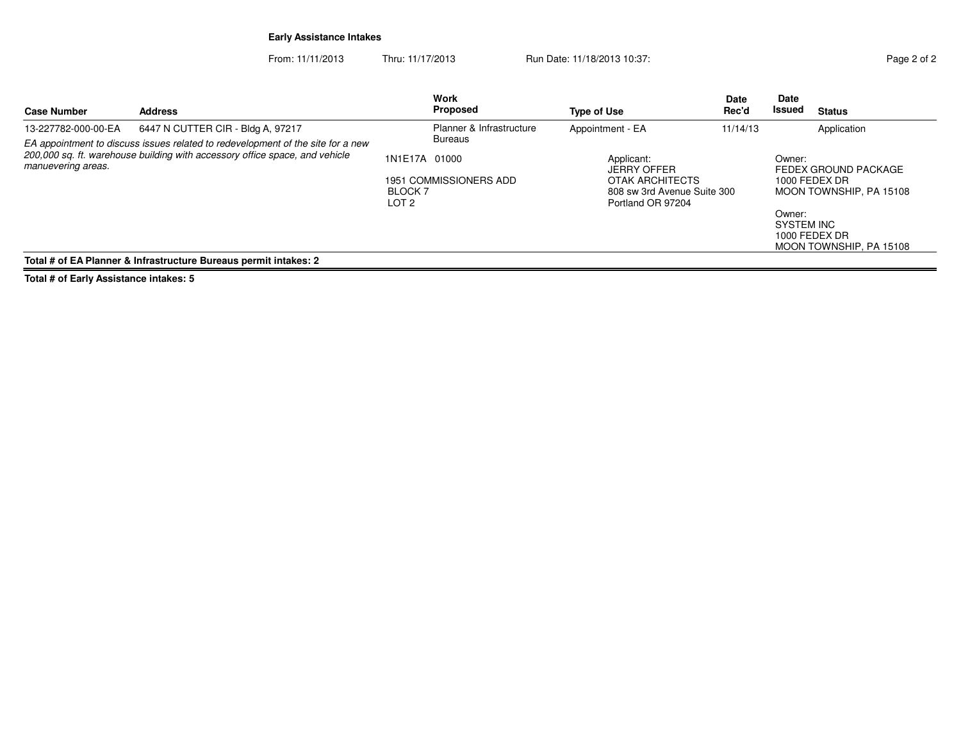## **Early Assistance Intakes**

From: 11/11/2013Thru: 11/17/2013 Run Date: 11/18/2013 10:37:<br>37 Page 2 of 2

| <b>Case Number</b>  | <b>Address</b>                                                                                                                                                 |                                          | Work<br>Proposed                         | <b>Type of Use</b>                                                                                      | <b>Date</b><br>Rec'd | <b>Date</b><br>Issued          | <b>Status</b>                                                                                                |
|---------------------|----------------------------------------------------------------------------------------------------------------------------------------------------------------|------------------------------------------|------------------------------------------|---------------------------------------------------------------------------------------------------------|----------------------|--------------------------------|--------------------------------------------------------------------------------------------------------------|
| 13-227782-000-00-EA | 6447 N CUTTER CIR - Bldg A, 97217                                                                                                                              |                                          | Planner & Infrastructure                 | Appointment - EA                                                                                        | 11/14/13             |                                | Application                                                                                                  |
| manuevering areas.  | EA appointment to discuss issues related to redevelopment of the site for a new<br>200,000 sq. ft. warehouse building with accessory office space, and vehicle | 1N1E17A 01000<br><b>BLOCK 7</b><br>LOT 2 | <b>Bureaus</b><br>1951 COMMISSIONERS ADD | Applicant:<br><b>JERRY OFFER</b><br>OTAK ARCHITECTS<br>808 sw 3rd Avenue Suite 300<br>Portland OR 97204 |                      | Owner:<br>Owner:<br>SYSTEM INC | FEDEX GROUND PACKAGE<br>1000 FEDEX DR<br>MOON TOWNSHIP, PA 15108<br>1000 FEDEX DR<br>MOON TOWNSHIP, PA 15108 |
|                     | Total # of EA Planner & Infrastructure Bureaus permit intakes: 2                                                                                               |                                          |                                          |                                                                                                         |                      |                                |                                                                                                              |

**Total # of Early Assistance intakes: 5**

 $=$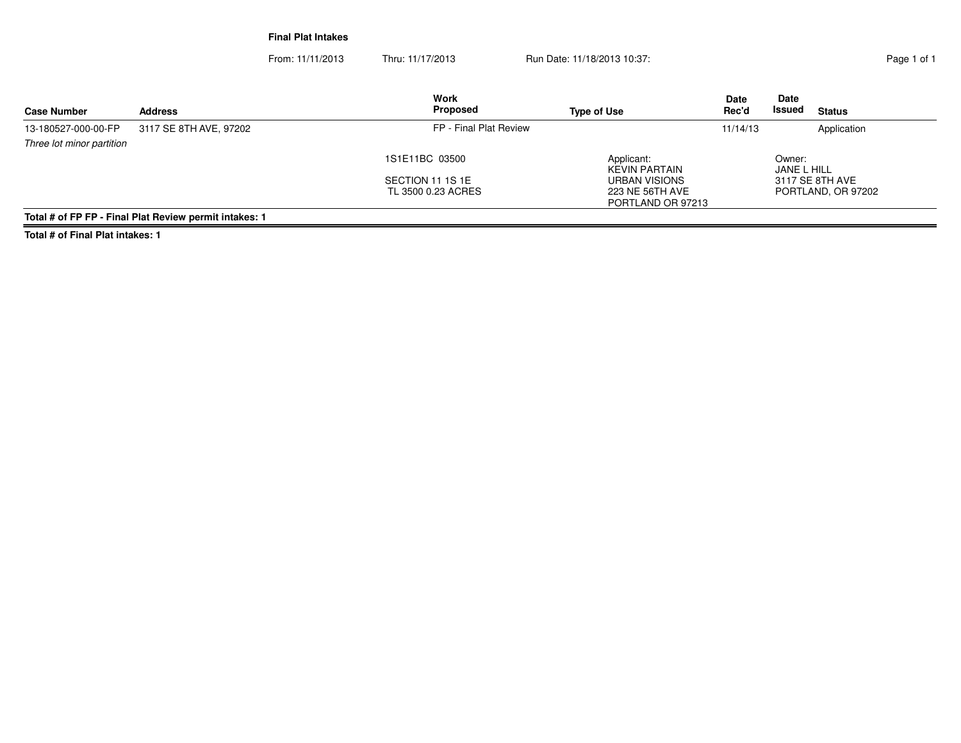**Final Plat Intakes**

From: 11/11/2013Thru: 11/17/2013 Run Date: 11/18/2013 10:37:<br>
Rage 1 of 1

| <b>Case Number</b>        | <b>Address</b>                                         | <b>Work</b><br>Proposed                | <b>Type of Use</b>                                    | <b>Date</b><br>Rec'd | <b>Date</b><br>Issued | <b>Status</b>      |
|---------------------------|--------------------------------------------------------|----------------------------------------|-------------------------------------------------------|----------------------|-----------------------|--------------------|
| 13-180527-000-00-FP       | 3117 SE 8TH AVE, 97202                                 | FP - Final Plat Review                 |                                                       | 11/14/13             |                       | Application        |
| Three lot minor partition |                                                        |                                        |                                                       |                      |                       |                    |
|                           |                                                        | 1S1E11BC 03500                         | Applicant:<br>KEVIN PARTAIN                           |                      | Owner:<br>JANE L HILL |                    |
|                           |                                                        | SECTION 11 1S 1E<br>TL 3500 0.23 ACRES | URBAN VISIONS<br>223 NE 56TH AVE<br>PORTLAND OR 97213 |                      | 3117 SE 8TH AVE       | PORTLAND, OR 97202 |
|                           | Total # of FP FP - Final Plat Review permit intakes: 1 |                                        |                                                       |                      |                       |                    |

**Total # of Final Plat intakes: 1**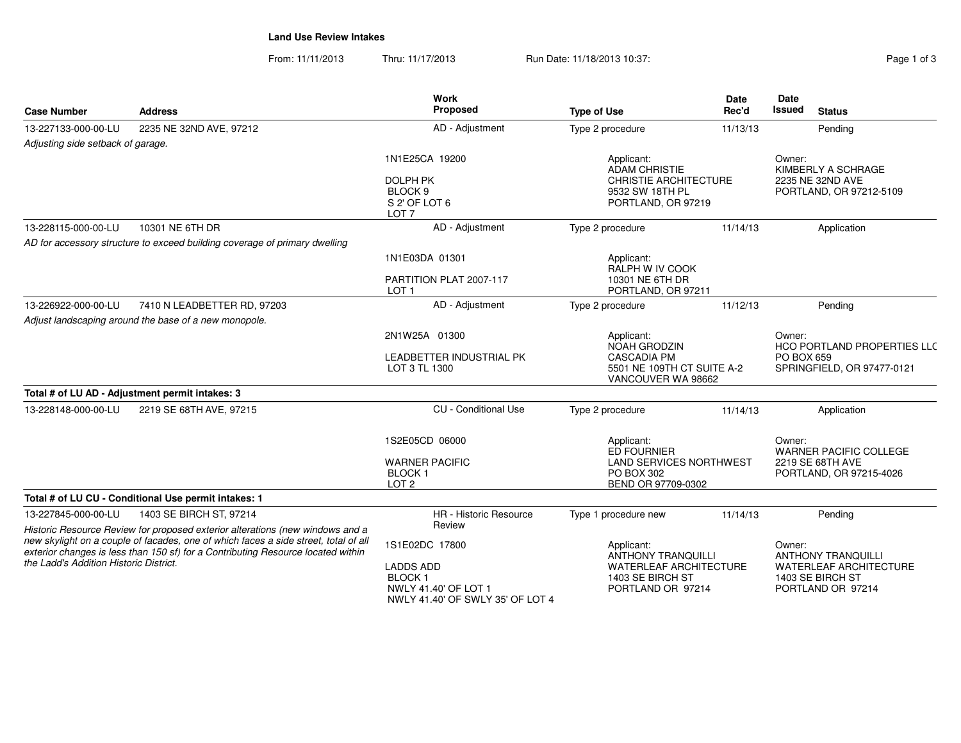**Land Use Review Intakes**

From: 11/11/2013Thru: 11/17/2013 **Run Date: 11/18/2013 10:37:** Thru: 11/17/2013 Pag

| Page 1 of 3 |  |
|-------------|--|
|-------------|--|

| <b>Case Number</b>                                                                                                                                                                                                | <b>Address</b>                                                                | <b>Work</b><br><b>Date</b><br>Proposed<br>Rec'd<br><b>Type of Use</b>                         |                                                                                                             | <b>Date</b><br>Issued<br><b>Status</b> |                                                                             |  |
|-------------------------------------------------------------------------------------------------------------------------------------------------------------------------------------------------------------------|-------------------------------------------------------------------------------|-----------------------------------------------------------------------------------------------|-------------------------------------------------------------------------------------------------------------|----------------------------------------|-----------------------------------------------------------------------------|--|
| 13-227133-000-00-LU                                                                                                                                                                                               | 2235 NE 32ND AVE, 97212                                                       | AD - Adjustment                                                                               | Type 2 procedure<br>11/13/13                                                                                |                                        | Pending                                                                     |  |
| Adjusting side setback of garage.                                                                                                                                                                                 |                                                                               |                                                                                               |                                                                                                             |                                        |                                                                             |  |
|                                                                                                                                                                                                                   |                                                                               | 1N1E25CA 19200<br><b>DOLPH PK</b><br>BLOCK <sub>9</sub><br>S 2' OF LOT 6<br>LOT <sub>7</sub>  | Applicant:<br><b>ADAM CHRISTIE</b><br><b>CHRISTIE ARCHITECTURE</b><br>9532 SW 18TH PL<br>PORTLAND, OR 97219 |                                        | Owner:<br>KIMBERLY A SCHRAGE<br>2235 NE 32ND AVE<br>PORTLAND, OR 97212-5109 |  |
| 13-228115-000-00-LU                                                                                                                                                                                               | 10301 NE 6TH DR                                                               | AD - Adjustment                                                                               | Type 2 procedure                                                                                            | 11/14/13                               | Application                                                                 |  |
|                                                                                                                                                                                                                   | AD for accessory structure to exceed building coverage of primary dwelling    |                                                                                               |                                                                                                             |                                        |                                                                             |  |
|                                                                                                                                                                                                                   |                                                                               | 1N1E03DA 01301                                                                                | Applicant:<br>RALPH W IV COOK                                                                               |                                        |                                                                             |  |
|                                                                                                                                                                                                                   |                                                                               | PARTITION PLAT 2007-117<br>LOT <sub>1</sub>                                                   | 10301 NE 6TH DR<br>PORTLAND, OR 97211                                                                       |                                        |                                                                             |  |
| 13-226922-000-00-LU                                                                                                                                                                                               | 7410 N LEADBETTER RD, 97203                                                   | AD - Adjustment                                                                               | Type 2 procedure                                                                                            | 11/12/13                               | Pending                                                                     |  |
|                                                                                                                                                                                                                   | Adjust landscaping around the base of a new monopole.                         |                                                                                               |                                                                                                             |                                        |                                                                             |  |
|                                                                                                                                                                                                                   |                                                                               | 2N1W25A 01300                                                                                 | Applicant:<br>NOAH GRODZIN                                                                                  |                                        | Owner:<br>HCO PORTLAND PROPERTIES LLC                                       |  |
|                                                                                                                                                                                                                   |                                                                               | LEADBETTER INDUSTRIAL PK<br>LOT 3 TL 1300                                                     | <b>CASCADIA PM</b><br>5501 NE 109TH CT SUITE A-2<br>VANCOUVER WA 98662                                      |                                        | PO BOX 659<br>SPRINGFIELD, OR 97477-0121                                    |  |
|                                                                                                                                                                                                                   | Total # of LU AD - Adjustment permit intakes: 3                               |                                                                                               |                                                                                                             |                                        |                                                                             |  |
| 13-228148-000-00-LU                                                                                                                                                                                               | 2219 SE 68TH AVE, 97215                                                       | <b>CU</b> - Conditional Use                                                                   | Type 2 procedure                                                                                            | 11/14/13                               | Application                                                                 |  |
|                                                                                                                                                                                                                   |                                                                               | 1S2E05CD 06000                                                                                | Applicant:<br>ED FOURNIER                                                                                   |                                        | Owner:<br>WARNER PACIFIC COLLEGE                                            |  |
|                                                                                                                                                                                                                   |                                                                               | <b>WARNER PACIFIC</b><br><b>BLOCK1</b><br>LOT <sub>2</sub>                                    | <b>LAND SERVICES NORTHWEST</b><br>PO BOX 302<br>BEND OR 97709-0302                                          |                                        | 2219 SE 68TH AVE<br>PORTLAND, OR 97215-4026                                 |  |
|                                                                                                                                                                                                                   | Total # of LU CU - Conditional Use permit intakes: 1                          |                                                                                               |                                                                                                             |                                        |                                                                             |  |
| 13-227845-000-00-LU                                                                                                                                                                                               | 1403 SE BIRCH ST, 97214                                                       | <b>HR</b> - Historic Resource                                                                 | Type 1 procedure new                                                                                        | 11/14/13                               | Pending                                                                     |  |
|                                                                                                                                                                                                                   | Historic Resource Review for proposed exterior alterations (new windows and a | Review                                                                                        |                                                                                                             |                                        |                                                                             |  |
| new skylight on a couple of facades, one of which faces a side street, total of all<br>exterior changes is less than 150 sf) for a Contributing Resource located within<br>the Ladd's Addition Historic District. |                                                                               | 1S1E02DC 17800                                                                                | Applicant:<br><b>ANTHONY TRANQUILLI</b>                                                                     |                                        | Owner:<br><b>ANTHONY TRANQUILLI</b>                                         |  |
|                                                                                                                                                                                                                   |                                                                               | <b>LADDS ADD</b><br><b>BLOCK1</b><br>NWLY 41.40' OF LOT 1<br>NWLY 41.40' OF SWLY 35' OF LOT 4 | <b>WATERLEAF ARCHITECTURE</b><br>1403 SE BIRCH ST<br>PORTLAND OR 97214                                      |                                        | <b>WATERLEAF ARCHITECTURE</b><br>1403 SE BIRCH ST<br>PORTLAND OR 97214      |  |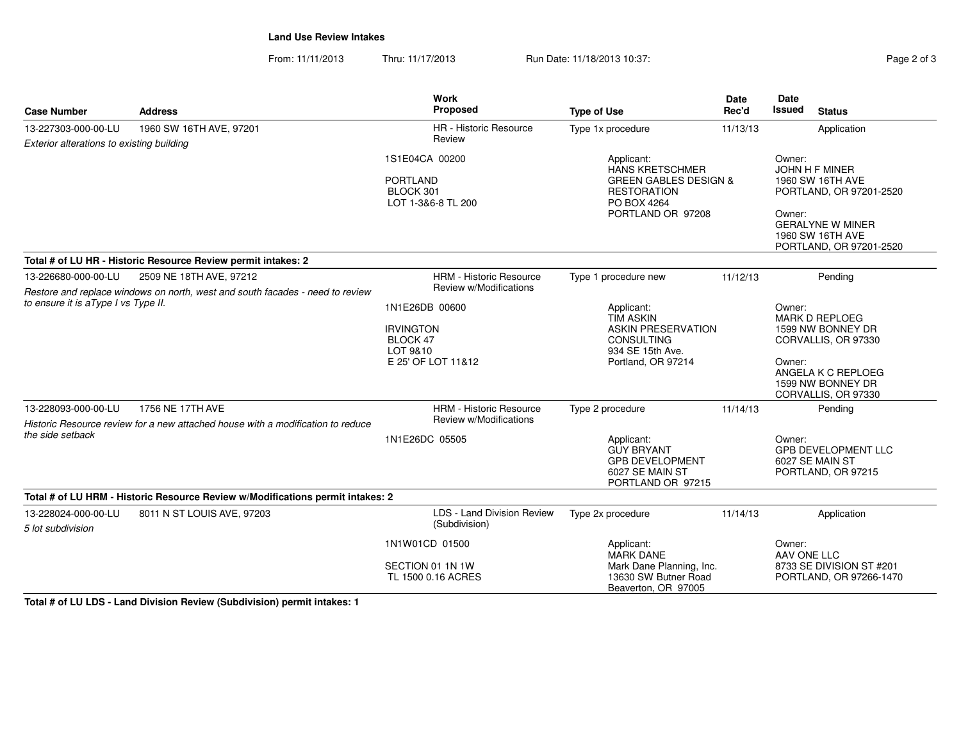**Land Use Review Intakes**

From: 11/11/2013Thru: 11/17/2013 Run Date: 11/18/2013 10:37:<br>
Rage 2 of 3

| <b>Case Number</b>                        | <b>Address</b>                                                                                      | Work<br>Proposed                                                                 | <b>Type of Use</b>                                                                                                                 | Date<br>Rec'd | Date<br><b>Issued</b> | <b>Status</b>                                                                                                                           |
|-------------------------------------------|-----------------------------------------------------------------------------------------------------|----------------------------------------------------------------------------------|------------------------------------------------------------------------------------------------------------------------------------|---------------|-----------------------|-----------------------------------------------------------------------------------------------------------------------------------------|
| 13-227303-000-00-LU                       | 1960 SW 16TH AVE, 97201                                                                             | HR - Historic Resource                                                           | Type 1x procedure                                                                                                                  | 11/13/13      |                       | Application                                                                                                                             |
| Exterior alterations to existing building |                                                                                                     | Review                                                                           |                                                                                                                                    |               |                       |                                                                                                                                         |
|                                           |                                                                                                     | 1S1E04CA 00200<br><b>PORTLAND</b><br>BLOCK 301<br>LOT 1-3&6-8 TL 200             | Applicant:<br><b>HANS KRETSCHMER</b><br><b>GREEN GABLES DESIGN &amp;</b><br><b>RESTORATION</b><br>PO BOX 4264<br>PORTLAND OR 97208 |               | Owner:<br>Owner:      | JOHN H F MINER<br>1960 SW 16TH AVE<br>PORTLAND, OR 97201-2520<br><b>GERALYNE W MINER</b><br>1960 SW 16TH AVE<br>PORTLAND, OR 97201-2520 |
|                                           | Total # of LU HR - Historic Resource Review permit intakes: 2                                       |                                                                                  |                                                                                                                                    |               |                       |                                                                                                                                         |
| 13-226680-000-00-LU                       | 2509 NE 18TH AVE, 97212                                                                             | <b>HRM - Historic Resource</b>                                                   | Type 1 procedure new                                                                                                               | 11/12/13      |                       | Pending                                                                                                                                 |
| to ensure it is a Type I vs Type II.      | Restore and replace windows on north, west and south facades - need to review                       | Review w/Modifications                                                           |                                                                                                                                    |               |                       |                                                                                                                                         |
|                                           |                                                                                                     | 1N1E26DB 00600<br><b>IRVINGTON</b><br>BLOCK 47<br>LOT 9&10<br>E 25' OF LOT 11&12 | Applicant:<br><b>TIM ASKIN</b><br><b>ASKIN PRESERVATION</b><br><b>CONSULTING</b><br>934 SE 15th Ave.<br>Portland, OR 97214         |               | Owner:<br>Owner:      | <b>MARK D REPLOEG</b><br>1599 NW BONNEY DR<br>CORVALLIS, OR 97330<br>ANGELA K C REPLOEG<br>1599 NW BONNEY DR<br>CORVALLIS, OR 97330     |
| 13-228093-000-00-LU                       | 1756 NE 17TH AVE<br>Historic Resource review for a new attached house with a modification to reduce | <b>HRM - Historic Resource</b><br>Review w/Modifications                         | Type 2 procedure                                                                                                                   | 11/14/13      |                       | Pending                                                                                                                                 |
| the side setback                          |                                                                                                     | 1N1E26DC 05505                                                                   | Applicant:<br><b>GUY BRYANT</b><br><b>GPB DEVELOPMENT</b><br>6027 SE MAIN ST<br>PORTLAND OR 97215                                  |               | Owner:                | <b>GPB DEVELOPMENT LLC</b><br>6027 SE MAIN ST<br>PORTLAND, OR 97215                                                                     |
|                                           | Total # of LU HRM - Historic Resource Review w/Modifications permit intakes: 2                      |                                                                                  |                                                                                                                                    |               |                       |                                                                                                                                         |
| 13-228024-000-00-LU<br>5 lot subdivision  | 8011 N ST LOUIS AVE, 97203                                                                          | LDS - Land Division Review<br>(Subdivision)                                      | Type 2x procedure                                                                                                                  | 11/14/13      |                       | Application                                                                                                                             |
|                                           |                                                                                                     | 1N1W01CD 01500                                                                   | Applicant:<br><b>MARK DANE</b>                                                                                                     |               | Owner:<br>AAV ONE LLC |                                                                                                                                         |
|                                           |                                                                                                     | SECTION 01 1N 1W<br>TL 1500 0.16 ACRES                                           | Mark Dane Planning, Inc.<br>13630 SW Butner Road<br>Beaverton, OR 97005                                                            |               |                       | 8733 SE DIVISION ST #201<br>PORTLAND, OR 97266-1470                                                                                     |

**Total # of LU LDS - Land Division Review (Subdivision) permit intakes: 1**